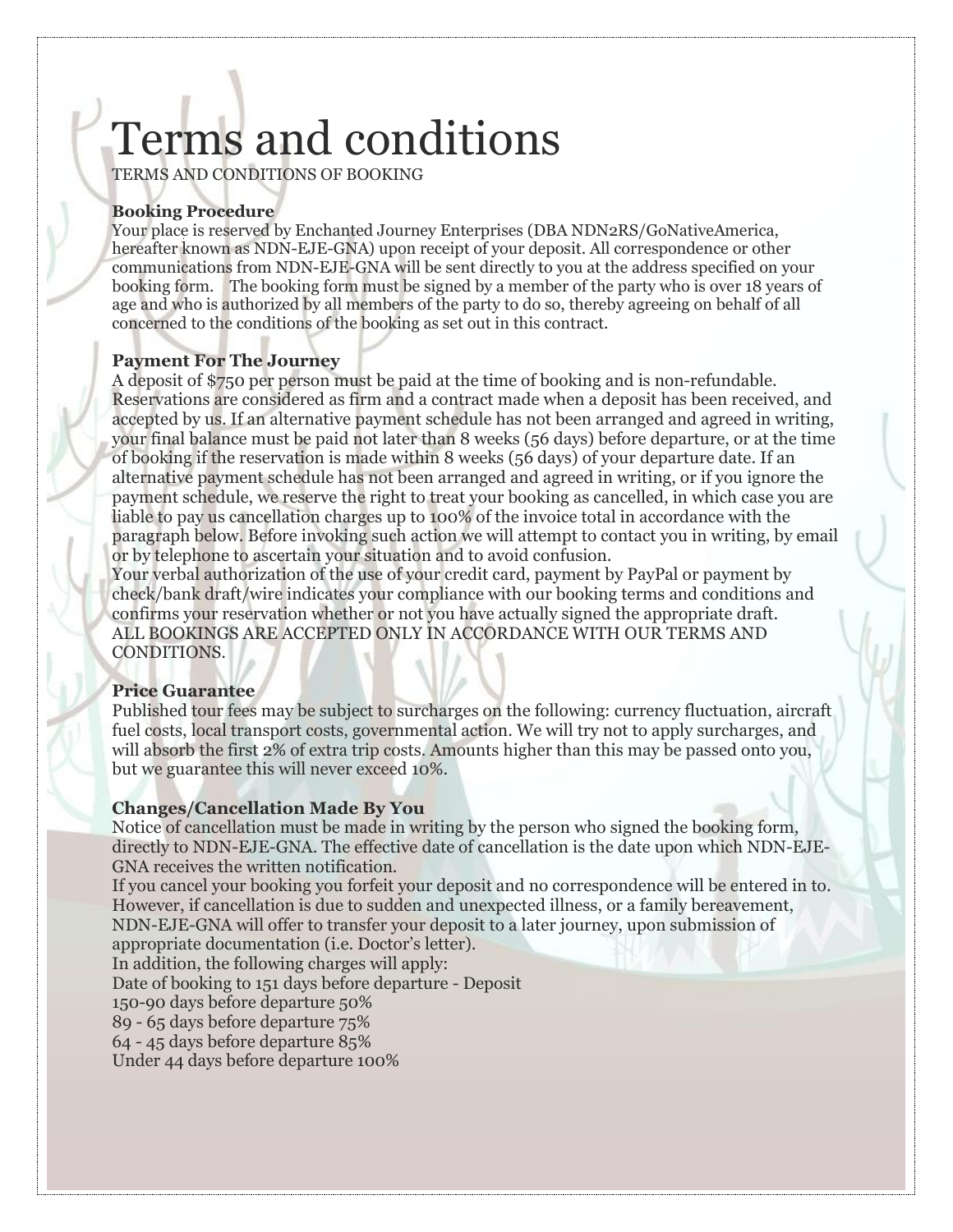# Terms and conditions

TERMS AND CONDITIONS OF BOOKING

# **Booking Procedure**

Your place is reserved by Enchanted Journey Enterprises (DBA NDN2RS/GoNativeAmerica, hereafter known as NDN-EJE-GNA) upon receipt of your deposit. All correspondence or other communications from NDN-EJE-GNA will be sent directly to you at the address specified on your booking form. The booking form must be signed by a member of the party who is over 18 years of age and who is authorized by all members of the party to do so, thereby agreeing on behalf of all concerned to the conditions of the booking as set out in this contract.

# **Payment For The Journey**

A deposit of \$750 per person must be paid at the time of booking and is non-refundable. Reservations are considered as firm and a contract made when a deposit has been received, and accepted by us. If an alternative payment schedule has not been arranged and agreed in writing, your final balance must be paid not later than 8 weeks (56 days) before departure, or at the time of booking if the reservation is made within 8 weeks (56 days) of your departure date. If an alternative payment schedule has not been arranged and agreed in writing, or if you ignore the payment schedule, we reserve the right to treat your booking as cancelled, in which case you are liable to pay us cancellation charges up to 100% of the invoice total in accordance with the paragraph below. Before invoking such action we will attempt to contact you in writing, by email or by telephone to ascertain your situation and to avoid confusion.

Your verbal authorization of the use of your credit card, payment by PayPal or payment by check/bank draft/wire indicates your compliance with our booking terms and conditions and confirms your reservation whether or not you have actually signed the appropriate draft. ALL BOOKINGS ARE ACCEPTED ONLY IN ACCORDANCE WITH OUR TERMS AND CONDITIONS.

## **Price Guarantee**

Published tour fees may be subject to surcharges on the following: currency fluctuation, aircraft fuel costs, local transport costs, governmental action. We will try not to apply surcharges, and will absorb the first 2% of extra trip costs. Amounts higher than this may be passed onto you, but we guarantee this will never exceed 10%.

## **Changes/Cancellation Made By You**

Notice of cancellation must be made in writing by the person who signed the booking form, directly to NDN-EJE-GNA. The effective date of cancellation is the date upon which NDN-EJE-GNA receives the written notification.

If you cancel your booking you forfeit your deposit and no correspondence will be entered in to. However, if cancellation is due to sudden and unexpected illness, or a family bereavement, NDN-EJE-GNA will offer to transfer your deposit to a later journey, upon submission of appropriate documentation (i.e. Doctor's letter).

In addition, the following charges will apply: Date of booking to 151 days before departure - Deposit 150-90 days before departure 50% 89 - 65 days before departure 75% 64 - 45 days before departure 85% Under 44 days before departure 100%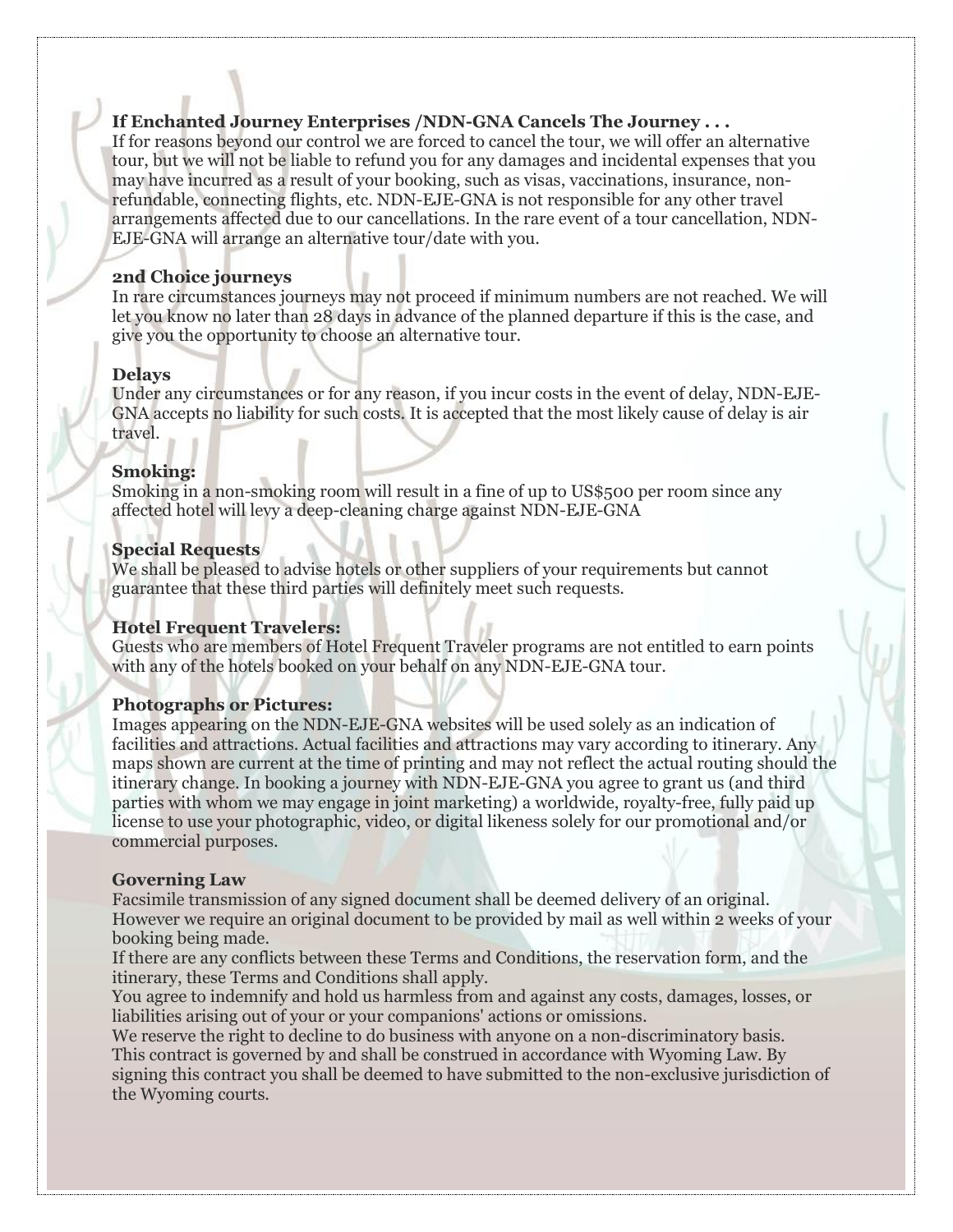## **If Enchanted Journey Enterprises /NDN-GNA Cancels The Journey . . .**

If for reasons beyond our control we are forced to cancel the tour, we will offer an alternative tour, but we will not be liable to refund you for any damages and incidental expenses that you may have incurred as a result of your booking, such as visas, vaccinations, insurance, nonrefundable, connecting flights, etc. NDN-EJE-GNA is not responsible for any other travel arrangements affected due to our cancellations. In the rare event of a tour cancellation, NDN-EJE-GNA will arrange an alternative tour/date with you.

#### **2nd Choice journeys**

In rare circumstances journeys may not proceed if minimum numbers are not reached. We will let you know no later than 28 days in advance of the planned departure if this is the case, and give you the opportunity to choose an alternative tour.

#### **Delays**

Under any circumstances or for any reason, if you incur costs in the event of delay, NDN-EJE-GNA accepts no liability for such costs. It is accepted that the most likely cause of delay is air travel.

## **Smoking:**

Smoking in a non-smoking room will result in a fine of up to US\$500 per room since any affected hotel will levy a deep-cleaning charge against NDN-EJE-GNA

#### **Special Requests**

We shall be pleased to advise hotels or other suppliers of your requirements but cannot guarantee that these third parties will definitely meet such requests.

## **Hotel Frequent Travelers:**

Guests who are members of Hotel Frequent Traveler programs are not entitled to earn points with any of the hotels booked on your behalf on any NDN-EJE-GNA tour.

#### **Photographs or Pictures:**

Images appearing on the NDN-EJE-GNA websites will be used solely as an indication of facilities and attractions. Actual facilities and attractions may vary according to itinerary. Any maps shown are current at the time of printing and may not reflect the actual routing should the itinerary change. In booking a journey with NDN-EJE-GNA you agree to grant us (and third parties with whom we may engage in joint marketing) a worldwide, royalty-free, fully paid up license to use your photographic, video, or digital likeness solely for our promotional and/or commercial purposes.

#### **Governing Law**

Facsimile transmission of any signed document shall be deemed delivery of an original. However we require an original document to be provided by mail as well within 2 weeks of your booking being made.

If there are any conflicts between these Terms and Conditions, the reservation form, and the itinerary, these Terms and Conditions shall apply.

You agree to indemnify and hold us harmless from and against any costs, damages, losses, or liabilities arising out of your or your companions' actions or omissions.

We reserve the right to decline to do business with anyone on a non-discriminatory basis. This contract is governed by and shall be construed in accordance with Wyoming Law. By signing this contract you shall be deemed to have submitted to the non-exclusive jurisdiction of the Wyoming courts.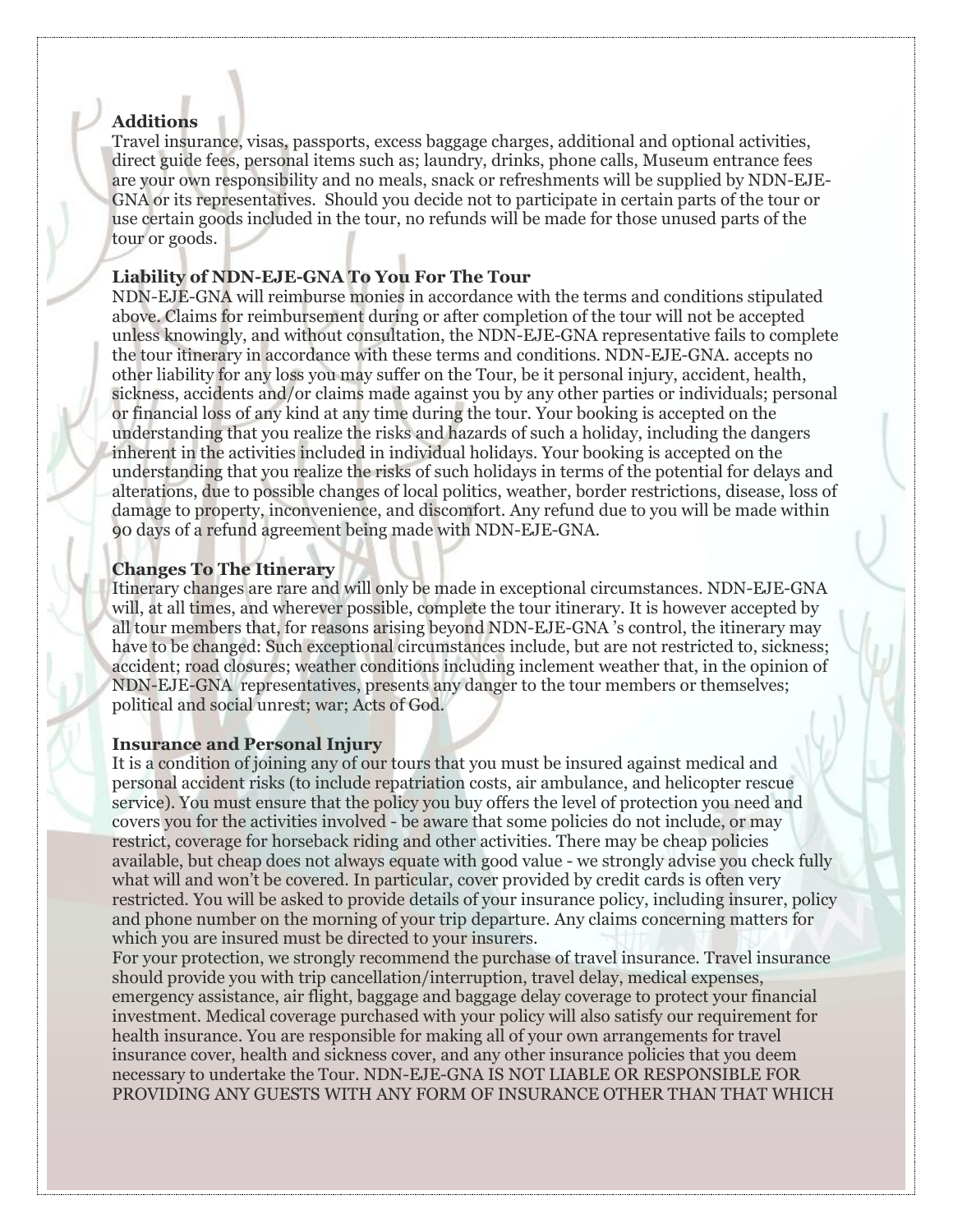# **Additions**

Travel insurance, visas, passports, excess baggage charges, additional and optional activities, direct guide fees, personal items such as; laundry, drinks, phone calls, Museum entrance fees are your own responsibility and no meals, snack or refreshments will be supplied by NDN-EJE-GNA or its representatives. Should you decide not to participate in certain parts of the tour or use certain goods included in the tour, no refunds will be made for those unused parts of the tour or goods.

#### **Liability of NDN-EJE-GNA To You For The Tour**

NDN-EJE-GNA will reimburse monies in accordance with the terms and conditions stipulated above. Claims for reimbursement during or after completion of the tour will not be accepted unless knowingly, and without consultation, the NDN-EJE-GNA representative fails to complete the tour itinerary in accordance with these terms and conditions. NDN-EJE-GNA. accepts no other liability for any loss you may suffer on the Tour, be it personal injury, accident, health, sickness, accidents and/or claims made against you by any other parties or individuals; personal or financial loss of any kind at any time during the tour. Your booking is accepted on the understanding that you realize the risks and hazards of such a holiday, including the dangers inherent in the activities included in individual holidays. Your booking is accepted on the understanding that you realize the risks of such holidays in terms of the potential for delays and alterations, due to possible changes of local politics, weather, border restrictions, disease, loss of damage to property, inconvenience, and discomfort. Any refund due to you will be made within 90 days of a refund agreement being made with NDN-EJE-GNA.

#### **Changes To The Itinerary**

Itinerary changes are rare and will only be made in exceptional circumstances. NDN-EJE-GNA will, at all times, and wherever possible, complete the tour itinerary. It is however accepted by all tour members that, for reasons arising beyond NDN-EJE-GNA 's control, the itinerary may have to be changed: Such exceptional circumstances include, but are not restricted to, sickness; accident; road closures; weather conditions including inclement weather that, in the opinion of NDN-EJE-GNA representatives, presents any danger to the tour members or themselves; political and social unrest; war; Acts of God.

#### **Insurance and Personal Injury**

It is a condition of joining any of our tours that you must be insured against medical and personal accident risks (to include repatriation costs, air ambulance, and helicopter rescue service). You must ensure that the policy you buy offers the level of protection you need and covers you for the activities involved - be aware that some policies do not include, or may restrict, coverage for horseback riding and other activities. There may be cheap policies available, but cheap does not always equate with good value - we strongly advise you check fully what will and won't be covered. In particular, cover provided by credit cards is often very restricted. You will be asked to provide details of your insurance policy, including insurer, policy and phone number on the morning of your trip departure. Any claims concerning matters for which you are insured must be directed to your insurers.

For your protection, we strongly recommend the purchase of travel insurance. Travel insurance should provide you with trip cancellation/interruption, travel delay, medical expenses, emergency assistance, air flight, baggage and baggage delay coverage to protect your financial investment. Medical coverage purchased with your policy will also satisfy our requirement for health insurance. You are responsible for making all of your own arrangements for travel insurance cover, health and sickness cover, and any other insurance policies that you deem necessary to undertake the Tour. NDN-EJE-GNA IS NOT LIABLE OR RESPONSIBLE FOR PROVIDING ANY GUESTS WITH ANY FORM OF INSURANCE OTHER THAN THAT WHICH